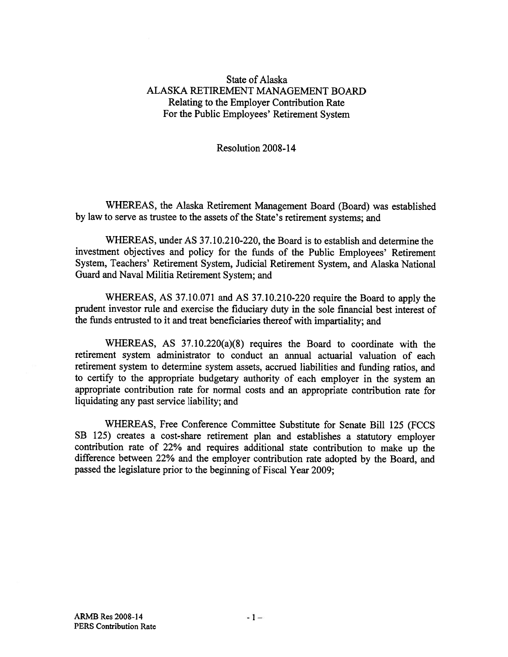## State of Alaska ALASKA RETIREMENT MANAGEMENT BOARD Relating to the Employer Contribution Rate For the Public Employees' Retirement System

## Resolution 2008-14

WHEREAS, the Alaska Retirement Management Board (Board) was established by law to serve as trustee to the assets of the State's retirement systems; and

WHEREAS, under AS 37.10.210-220, the Board is to establish and determine the investment objectives and policy for the funds of the Public Employees' Retirement System, Teachers' Retirement System, Judicial Retirement System, and Alaska National Guard and Naval Militia Retirement System; and

WHEREAS, AS 37.10.071 and AS 37.10.210-220 require the Board to apply the prudent investor rule and exercise the fiduciary duty in the sole financial best interest of the funds entrusted to it and treat beneficiaries thereof with impartiality; and

WHEREAS, AS 37.10.220(a)(8) requires the Board to coordinate with the retirement system administrator to conduct an annual actuarial valuation of each retirement system to determine system assets, accrued liabilities and funding ratios, and to certify to the appropriate budgetary authority of each employer in the system an appropriate contribution rate for normal costs and an appropriate contribution rate for liquidating any pas<sup>t</sup> service liability; and

WHEREAS, Free Conference Committee Substitute for Senate Bill <sup>125</sup> (FCCS SB 125) creates <sup>a</sup> cost-share retirement <sup>p</sup>lan and establishes <sup>a</sup> statutory employer contribution rate of 22% and requires additional state contribution to make up the difference between 22% and the employer contribution rate adopted by the Board, and passed the legislature prior to the beginning of Fiscal Year 2009;